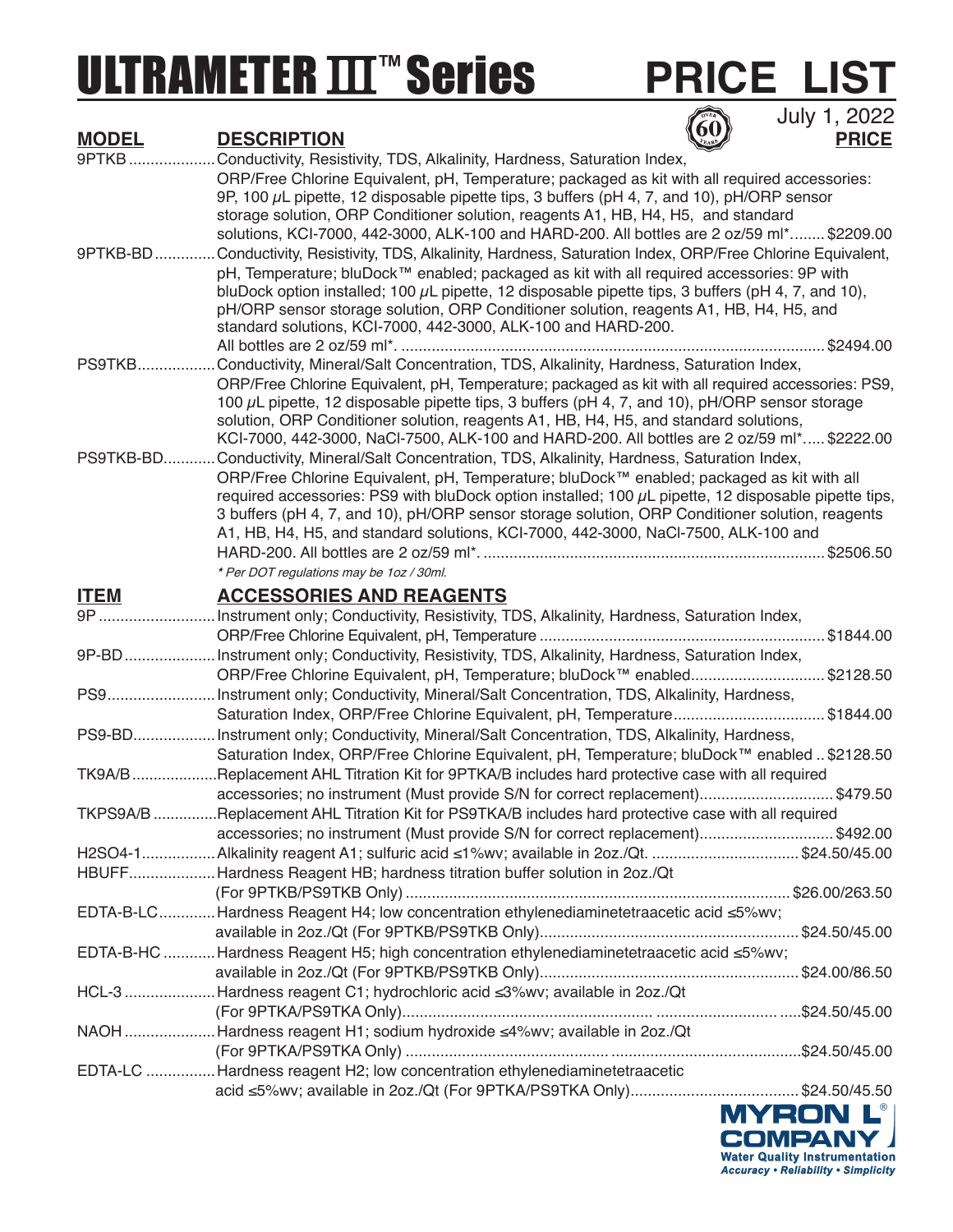# ULTRAMETER **III<sup>™</sup>Series**

## **PRICE LIST**

**60** July 1, 2022

| <u>MODEL</u> | <b>DESCRIPTION</b>                                                                                        | <u>PRICE</u> |
|--------------|-----------------------------------------------------------------------------------------------------------|--------------|
| 9PTKB        | Conductivity, Resistivity, TDS, Alkalinity, Hardness, Saturation Index,                                   |              |
|              | ORP/Free Chlorine Equivalent, pH, Temperature; packaged as kit with all required accessories:             |              |
|              | 9P, 100 µL pipette, 12 disposable pipette tips, 3 buffers (pH 4, 7, and 10), pH/ORP sensor                |              |
|              | storage solution, ORP Conditioner solution, reagents A1, HB, H4, H5, and standard                         |              |
|              | solutions, KCI-7000, 442-3000, ALK-100 and HARD-200. All bottles are 2 oz/59 ml* \$2209.00                |              |
| 9PTKB-BD     | Conductivity, Resistivity, TDS, Alkalinity, Hardness, Saturation Index, ORP/Free Chlorine Equivalent,     |              |
|              | pH, Temperature; bluDock™ enabled; packaged as kit with all required accessories: 9P with                 |              |
|              | bluDock option installed; 100 $\mu$ L pipette, 12 disposable pipette tips, 3 buffers (pH 4, 7, and 10),   |              |
|              | pH/ORP sensor storage solution, ORP Conditioner solution, reagents A1, HB, H4, H5, and                    |              |
|              | standard solutions, KCI-7000, 442-3000, ALK-100 and HARD-200.                                             |              |
|              |                                                                                                           |              |
| PS9TKB       | Conductivity, Mineral/Salt Concentration, TDS, Alkalinity, Hardness, Saturation Index,                    |              |
|              | ORP/Free Chlorine Equivalent, pH, Temperature; packaged as kit with all required accessories: PS9,        |              |
|              | 100 µL pipette, 12 disposable pipette tips, 3 buffers (pH 4, 7, and 10), pH/ORP sensor storage            |              |
|              | solution, ORP Conditioner solution, reagents A1, HB, H4, H5, and standard solutions,                      |              |
|              | KCI-7000, 442-3000, NaCl-7500, ALK-100 and HARD-200. All bottles are 2 oz/59 ml* \$2222.00                |              |
| PS9TKB-BD    | . Conductivity, Mineral/Salt Concentration, TDS, Alkalinity, Hardness, Saturation Index,                  |              |
|              | ORP/Free Chlorine Equivalent, pH, Temperature; bluDock™ enabled; packaged as kit with all                 |              |
|              | required accessories: PS9 with bluDock option installed; 100 $\mu$ L pipette, 12 disposable pipette tips, |              |
|              | 3 buffers (pH 4, 7, and 10), pH/ORP sensor storage solution, ORP Conditioner solution, reagents           |              |
|              | A1, HB, H4, H5, and standard solutions, KCI-7000, 442-3000, NaCI-7500, ALK-100 and                        |              |
|              |                                                                                                           |              |
|              | * Per DOT regulations may be 1oz / 30ml.                                                                  |              |
| <b>ITEM</b>  | <b>ACCESSORIES AND REAGENTS</b>                                                                           |              |
|              | 9P Instrument only; Conductivity, Resistivity, TDS, Alkalinity, Hardness, Saturation Index,               |              |
|              |                                                                                                           |              |
|              | 9P-BDInstrument only; Conductivity, Resistivity, TDS, Alkalinity, Hardness, Saturation Index,             |              |
|              | ORP/Free Chlorine Equivalent, pH, Temperature; bluDock™ enabled\$2128.50                                  |              |
|              | PS9Instrument only; Conductivity, Mineral/Salt Concentration, TDS, Alkalinity, Hardness,                  |              |
|              | Saturation Index, ORP/Free Chlorine Equivalent, pH, Temperature\$1844.00                                  |              |
|              | PS9-BDInstrument only; Conductivity, Mineral/Salt Concentration, TDS, Alkalinity, Hardness,               |              |
|              | Saturation Index, ORP/Free Chlorine Equivalent, pH, Temperature; bluDock™ enabled  \$2128.50              |              |
|              |                                                                                                           |              |
|              | TK9A/BReplacement AHL Titration Kit for 9PTKA/B includes hard protective case with all required           |              |
|              | accessories; no instrument (Must provide S/N for correct replacement)\$479.50                             |              |
|              | TKPS9A/B Replacement AHL Titration Kit for PS9TKA/B includes hard protective case with all required       |              |
|              | accessories; no instrument (Must provide S/N for correct replacement)\$492.00                             |              |
|              | H2SO4-1Alkalinity reagent A1; sulfuric acid ≤1%wv; available in 2oz./Qt. \$24.50/45.00                    |              |
|              | HBUFFHardness Reagent HB; hardness titration buffer solution in 2oz./Qt                                   |              |
|              |                                                                                                           |              |
|              | EDTA-B-LCHardness Reagent H4; low concentration ethylenediaminetetraacetic acid ≤5%wv;                    |              |
|              |                                                                                                           |              |
|              | EDTA-B-HC Hardness Reagent H5; high concentration ethylenediaminetetraacetic acid ≤5%wv;                  |              |
|              |                                                                                                           |              |
|              | HCL-3 Hardness reagent C1; hydrochloric acid <3%wv; available in 2oz./Qt                                  |              |
|              |                                                                                                           |              |
|              | NAOH Hardness reagent H1; sodium hydroxide ≤4%wv; available in 2oz./Qt                                    |              |
|              |                                                                                                           |              |
|              | EDTA-LC Hardness reagent H2; low concentration ethylenediaminetetraacetic                                 |              |
|              |                                                                                                           |              |